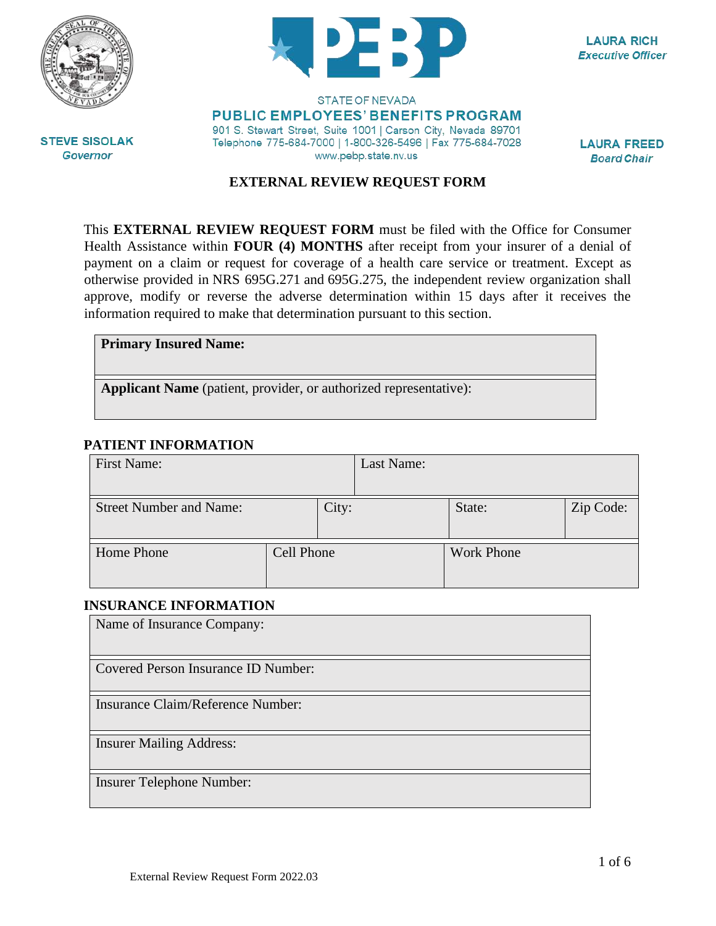



**LAURA RICH Executive Officer** 

**STEVE SISOLAK Governor** 

#### **STATE OF NEVADA PUBLIC EMPLOYEES' BENEFITS PROGRAM** 901 S. Stewart Street, Suite 1001 | Carson City, Nevada 89701 Telephone 775-684-7000 | 1-800-326-5496 | Fax 775-684-7028 www.pebp.state.nv.us

**LAURA FREED Board Chair** 

## **EXTERNAL REVIEW REQUEST FORM**

This **EXTERNAL REVIEW REQUEST FORM** must be filed with the Office for Consumer Health Assistance within **FOUR (4) MONTHS** after receipt from your insurer of a denial of payment on a claim or request for coverage of a health care service or treatment. Except as otherwise provided in [NRS 695G.271](https://www.leg.state.nv.us/NRS/NRS-695G.html#NRS695GSec271) and [695G.275,](https://www.leg.state.nv.us/NRS/NRS-695G.html#NRS695GSec275) the independent review organization shall approve, modify or reverse the adverse determination within 15 days after it receives the information required to make that determination pursuant to this section.

| <b>Primary Insured Name:</b> |  |  |
|------------------------------|--|--|
|------------------------------|--|--|

**Applicant Name** (patient, provider, or authorized representative):

## **PATIENT INFORMATION**

| First Name:                    |            |       | Last Name: |                   |           |
|--------------------------------|------------|-------|------------|-------------------|-----------|
| <b>Street Number and Name:</b> |            | City: |            | State:            | Zip Code: |
| Home Phone                     | Cell Phone |       |            | <b>Work Phone</b> |           |

## **INSURANCE INFORMATION**

| Name of Insurance Company:          |
|-------------------------------------|
| Covered Person Insurance ID Number: |
| Insurance Claim/Reference Number:   |
| <b>Insurer Mailing Address:</b>     |
| Insurer Telephone Number:           |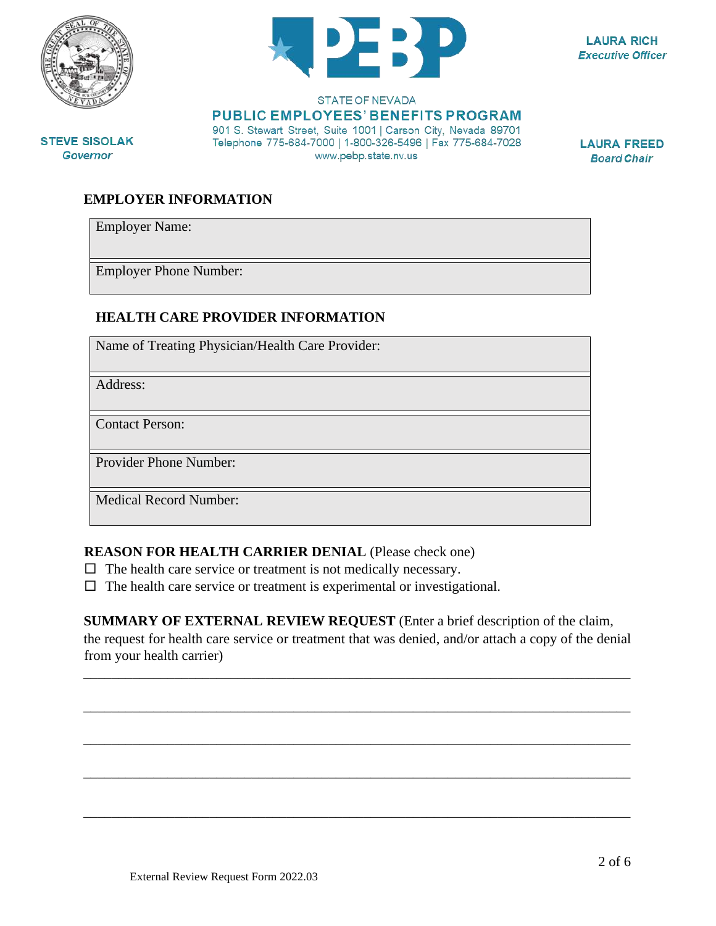

**STEVE SISOLAK** 

**Governor** 



**LAURA RICH Executive Officer** 

#### **STATE OF NEVADA PUBLIC EMPLOYEES' BENEFITS PROGRAM** 901 S. Stewart Street, Suite 1001 | Carson City, Nevada 89701 Telephone 775-684-7000 | 1-800-326-5496 | Fax 775-684-7028

www.pebp.state.nv.us

**LAURA FREED Board Chair** 

**EMPLOYER INFORMATION** 

Employer Name:

Employer Phone Number:

## **HEALTH CARE PROVIDER INFORMATION**

Name of Treating Physician/Health Care Provider:

Address:

Contact Person:

Provider Phone Number:

Medical Record Number:

## **REASON FOR HEALTH CARRIER DENIAL** (Please check one)

- $\Box$  The health care service or treatment is not medically necessary.
- $\Box$  The health care service or treatment is experimental or investigational.

**SUMMARY OF EXTERNAL REVIEW REQUEST** (Enter a brief description of the claim,

the request for health care service or treatment that was denied, and/or attach a copy of the denial from your health carrier)

\_\_\_\_\_\_\_\_\_\_\_\_\_\_\_\_\_\_\_\_\_\_\_\_\_\_\_\_\_\_\_\_\_\_\_\_\_\_\_\_\_\_\_\_\_\_\_\_\_\_\_\_\_\_\_\_\_\_\_\_\_\_\_\_\_\_\_\_\_\_\_\_\_\_\_\_\_\_

\_\_\_\_\_\_\_\_\_\_\_\_\_\_\_\_\_\_\_\_\_\_\_\_\_\_\_\_\_\_\_\_\_\_\_\_\_\_\_\_\_\_\_\_\_\_\_\_\_\_\_\_\_\_\_\_\_\_\_\_\_\_\_\_\_\_\_\_\_\_\_\_\_\_\_\_\_\_

\_\_\_\_\_\_\_\_\_\_\_\_\_\_\_\_\_\_\_\_\_\_\_\_\_\_\_\_\_\_\_\_\_\_\_\_\_\_\_\_\_\_\_\_\_\_\_\_\_\_\_\_\_\_\_\_\_\_\_\_\_\_\_\_\_\_\_\_\_\_\_\_\_\_\_\_\_\_

\_\_\_\_\_\_\_\_\_\_\_\_\_\_\_\_\_\_\_\_\_\_\_\_\_\_\_\_\_\_\_\_\_\_\_\_\_\_\_\_\_\_\_\_\_\_\_\_\_\_\_\_\_\_\_\_\_\_\_\_\_\_\_\_\_\_\_\_\_\_\_\_\_\_\_\_\_\_

\_\_\_\_\_\_\_\_\_\_\_\_\_\_\_\_\_\_\_\_\_\_\_\_\_\_\_\_\_\_\_\_\_\_\_\_\_\_\_\_\_\_\_\_\_\_\_\_\_\_\_\_\_\_\_\_\_\_\_\_\_\_\_\_\_\_\_\_\_\_\_\_\_\_\_\_\_\_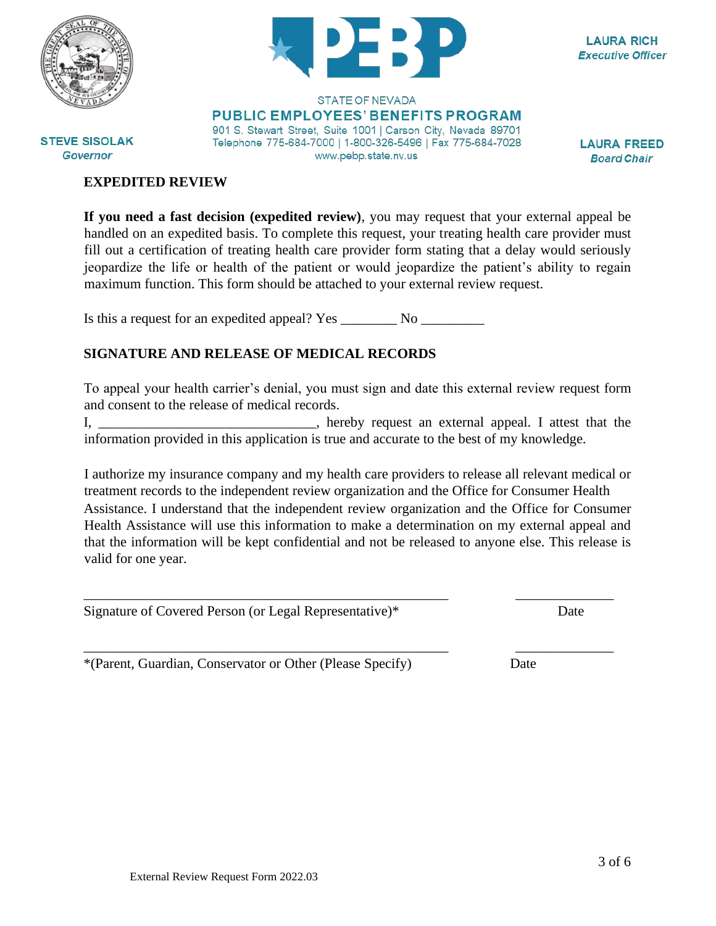

**STEVE SISOLAK** 

**Governor** 



**LAURA RICH Executive Officer** 

**STATE OF NEVADA PUBLIC EMPLOYEES' BENEFITS PROGRAM** 901 S. Stewart Street, Suite 1001 | Carson City, Nevada 89701 Telephone 775-684-7000 | 1-800-326-5496 | Fax 775-684-7028 www.pebp.state.nv.us

**LAURA FREED Board Chair** 

#### **EXPEDITED REVIEW**

**If you need a fast decision (expedited review)**, you may request that your external appeal be handled on an expedited basis. To complete this request, your treating health care provider must fill out a certification of treating health care provider form stating that a delay would seriously jeopardize the life or health of the patient or would jeopardize the patient's ability to regain maximum function. This form should be attached to your external review request.

Is this a request for an expedited appeal? Yes \_\_\_\_\_\_\_\_\_ No \_\_\_\_\_\_\_\_\_\_\_\_\_\_\_\_\_\_\_\_

## **SIGNATURE AND RELEASE OF MEDICAL RECORDS**

To appeal your health carrier's denial, you must sign and date this external review request form and consent to the release of medical records.

I, \_\_\_\_\_\_\_\_\_\_\_\_\_\_\_\_\_\_\_\_\_\_\_\_\_\_\_\_\_\_\_\_, hereby request an external appeal. I attest that the information provided in this application is true and accurate to the best of my knowledge.

I authorize my insurance company and my health care providers to release all relevant medical or treatment records to the independent review organization and the Office for Consumer Health Assistance. I understand that the independent review organization and the Office for Consumer Health Assistance will use this information to make a determination on my external appeal and that the information will be kept confidential and not be released to anyone else. This release is valid for one year.

\_\_\_\_\_\_\_\_\_\_\_\_\_\_\_\_\_\_\_\_\_\_\_\_\_\_\_\_\_\_\_\_\_\_\_\_\_\_\_\_\_\_\_\_\_\_\_\_\_\_\_\_ \_\_\_\_\_\_\_\_\_\_\_\_\_\_

\_\_\_\_\_\_\_\_\_\_\_\_\_\_\_\_\_\_\_\_\_\_\_\_\_\_\_\_\_\_\_\_\_\_\_\_\_\_\_\_\_\_\_\_\_\_\_\_\_\_\_\_ \_\_\_\_\_\_\_\_\_\_\_\_\_\_

Signature of Covered Person (or Legal Representative)\* Date

\*(Parent, Guardian, Conservator or Other (Please Specify) Date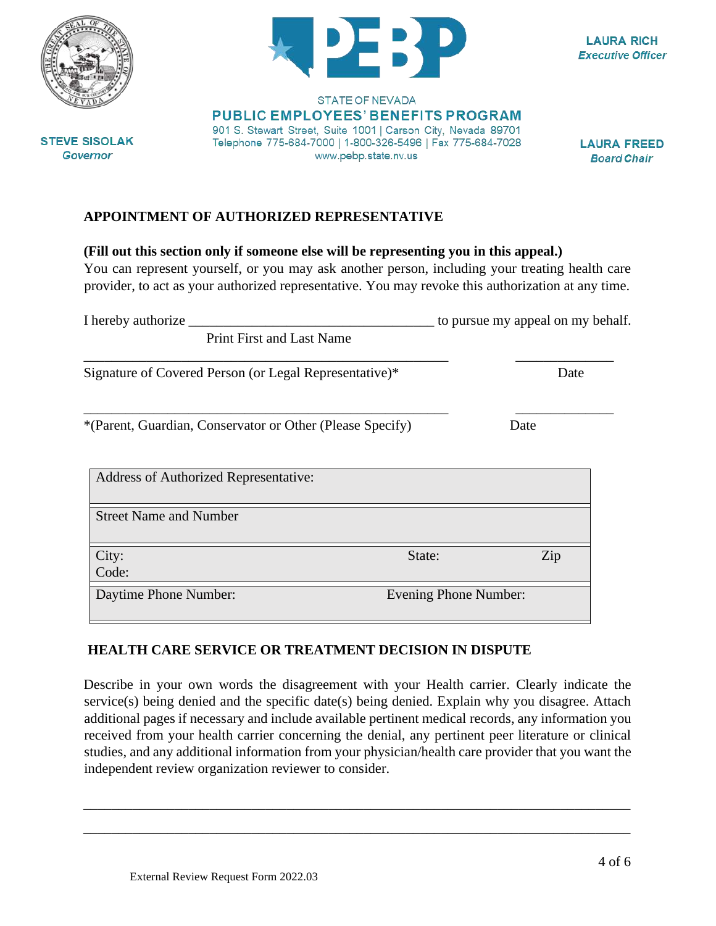

## **APPOINTMENT OF AUTHORIZED REPRESENTATIVE**

#### **(Fill out this section only if someone else will be representing you in this appeal.)**

You can represent yourself, or you may ask another person, including your treating health care provider, to act as your authorized representative. You may revoke this authorization at any time.

| I hereby authorize _                                      |        | to pursue my appeal on my behalf. |  |  |
|-----------------------------------------------------------|--------|-----------------------------------|--|--|
| <b>Print First and Last Name</b>                          |        |                                   |  |  |
| Signature of Covered Person (or Legal Representative)*    |        | Date                              |  |  |
| *(Parent, Guardian, Conservator or Other (Please Specify) |        | Date                              |  |  |
| <b>Address of Authorized Representative:</b>              |        |                                   |  |  |
| <b>Street Name and Number</b>                             |        |                                   |  |  |
| City:<br>Code:                                            | State: | Zip                               |  |  |
| Daytime Phone Number:                                     |        | <b>Evening Phone Number:</b>      |  |  |

## **HEALTH CARE SERVICE OR TREATMENT DECISION IN DISPUTE**

Describe in your own words the disagreement with your Health carrier. Clearly indicate the service(s) being denied and the specific date(s) being denied. Explain why you disagree. Attach additional pages if necessary and include available pertinent medical records, any information you received from your health carrier concerning the denial, any pertinent peer literature or clinical studies, and any additional information from your physician/health care provider that you want the independent review organization reviewer to consider.

\_\_\_\_\_\_\_\_\_\_\_\_\_\_\_\_\_\_\_\_\_\_\_\_\_\_\_\_\_\_\_\_\_\_\_\_\_\_\_\_\_\_\_\_\_\_\_\_\_\_\_\_\_\_\_\_\_\_\_\_\_\_\_\_\_\_\_\_\_\_\_\_\_\_\_\_\_\_

\_\_\_\_\_\_\_\_\_\_\_\_\_\_\_\_\_\_\_\_\_\_\_\_\_\_\_\_\_\_\_\_\_\_\_\_\_\_\_\_\_\_\_\_\_\_\_\_\_\_\_\_\_\_\_\_\_\_\_\_\_\_\_\_\_\_\_\_\_\_\_\_\_\_\_\_\_\_



**STATE OF NEVADA PUBLIC EMPLOYEES' BENEFITS PROGRAM** 901 S. Stewart Street, Suite 1001 | Carson City, Nevada 89701

Telephone 775-684-7000 | 1-800-326-5496 | Fax 775-684-7028

www.pebp.state.nv.us

**LAURA RICH Executive Officer** 

**LAURA FREED** 

**Board Chair**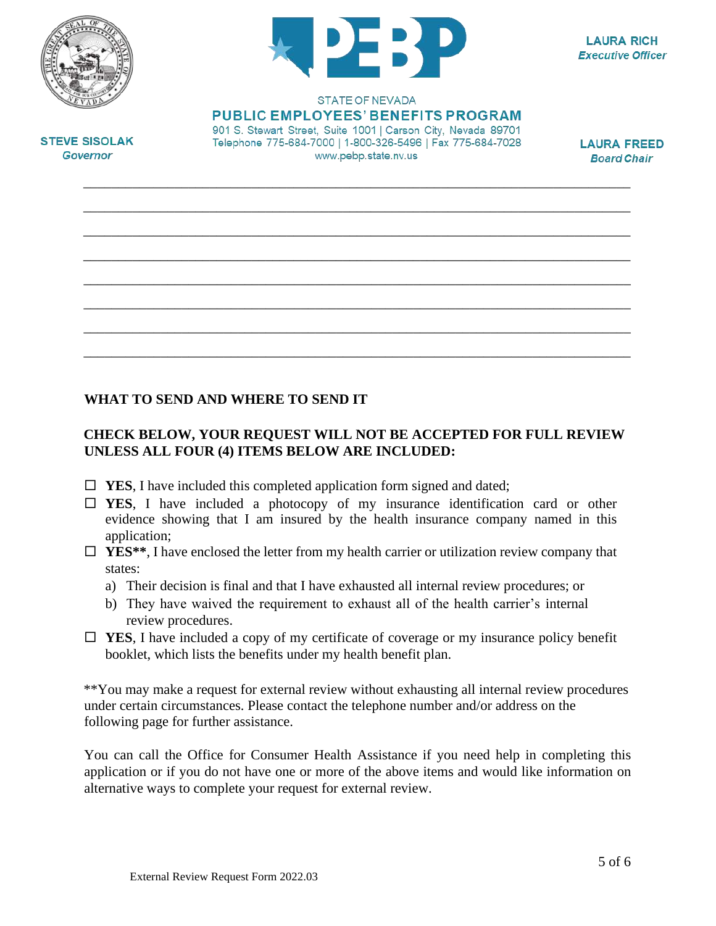



**LAURA RICH Executive Officer** 

STATE OF NEVADA **PUBLIC EMPLOYEES' BENEFITS PROGRAM** 

901 S. Stewart Street, Suite 1001 | Carson City, Nevada 89701 Telephone 775-684-7000 | 1-800-326-5496 | Fax 775-684-7028 www.pebp.state.nv.us

\_\_\_\_\_\_\_\_\_\_\_\_\_\_\_\_\_\_\_\_\_\_\_\_\_\_\_\_\_\_\_\_\_\_\_\_\_\_\_\_\_\_\_\_\_\_\_\_\_\_\_\_\_\_\_\_\_\_\_\_\_\_\_\_\_\_\_\_\_\_\_\_\_\_\_\_\_\_

\_\_\_\_\_\_\_\_\_\_\_\_\_\_\_\_\_\_\_\_\_\_\_\_\_\_\_\_\_\_\_\_\_\_\_\_\_\_\_\_\_\_\_\_\_\_\_\_\_\_\_\_\_\_\_\_\_\_\_\_\_\_\_\_\_\_\_\_\_\_\_\_\_\_\_\_\_\_

\_\_\_\_\_\_\_\_\_\_\_\_\_\_\_\_\_\_\_\_\_\_\_\_\_\_\_\_\_\_\_\_\_\_\_\_\_\_\_\_\_\_\_\_\_\_\_\_\_\_\_\_\_\_\_\_\_\_\_\_\_\_\_\_\_\_\_\_\_\_\_\_\_\_\_\_\_\_

\_\_\_\_\_\_\_\_\_\_\_\_\_\_\_\_\_\_\_\_\_\_\_\_\_\_\_\_\_\_\_\_\_\_\_\_\_\_\_\_\_\_\_\_\_\_\_\_\_\_\_\_\_\_\_\_\_\_\_\_\_\_\_\_\_\_\_\_\_\_\_\_\_\_\_\_\_\_

\_\_\_\_\_\_\_\_\_\_\_\_\_\_\_\_\_\_\_\_\_\_\_\_\_\_\_\_\_\_\_\_\_\_\_\_\_\_\_\_\_\_\_\_\_\_\_\_\_\_\_\_\_\_\_\_\_\_\_\_\_\_\_\_\_\_\_\_\_\_\_\_\_\_\_\_\_\_

\_\_\_\_\_\_\_\_\_\_\_\_\_\_\_\_\_\_\_\_\_\_\_\_\_\_\_\_\_\_\_\_\_\_\_\_\_\_\_\_\_\_\_\_\_\_\_\_\_\_\_\_\_\_\_\_\_\_\_\_\_\_\_\_\_\_\_\_\_\_\_\_\_\_\_\_\_\_

\_\_\_\_\_\_\_\_\_\_\_\_\_\_\_\_\_\_\_\_\_\_\_\_\_\_\_\_\_\_\_\_\_\_\_\_\_\_\_\_\_\_\_\_\_\_\_\_\_\_\_\_\_\_\_\_\_\_\_\_\_\_\_\_\_\_\_\_\_\_\_\_\_\_\_\_\_\_

\_\_\_\_\_\_\_\_\_\_\_\_\_\_\_\_\_\_\_\_\_\_\_\_\_\_\_\_\_\_\_\_\_\_\_\_\_\_\_\_\_\_\_\_\_\_\_\_\_\_\_\_\_\_\_\_\_\_\_\_\_\_\_\_\_\_\_\_\_\_\_\_\_\_\_\_\_\_

**LAURA FREED Board Chair** 

**STEVE SISOLAK Governor** 

# **WHAT TO SEND AND WHERE TO SEND IT**

# **CHECK BELOW, YOUR REQUEST WILL NOT BE ACCEPTED FOR FULL REVIEW UNLESS ALL FOUR (4) ITEMS BELOW ARE INCLUDED:**

- $\Box$  **YES**, I have included this completed application form signed and dated;
- **YES**, I have included a photocopy of my insurance identification card or other evidence showing that I am insured by the health insurance company named in this application;
- **YES\*\***, I have enclosed the letter from my health carrier or utilization review company that states:
	- a) Their decision is final and that I have exhausted all internal review procedures; or
	- b) They have waived the requirement to exhaust all of the health carrier's internal review procedures.
- **YES**, I have included a copy of my certificate of coverage or my insurance policy benefit booklet, which lists the benefits under my health benefit plan.

\*\*You may make a request for external review without exhausting all internal review procedures under certain circumstances. Please contact the telephone number and/or address on the following page for further assistance.

You can call the Office for Consumer Health Assistance if you need help in completing this application or if you do not have one or more of the above items and would like information on alternative ways to complete your request for external review.